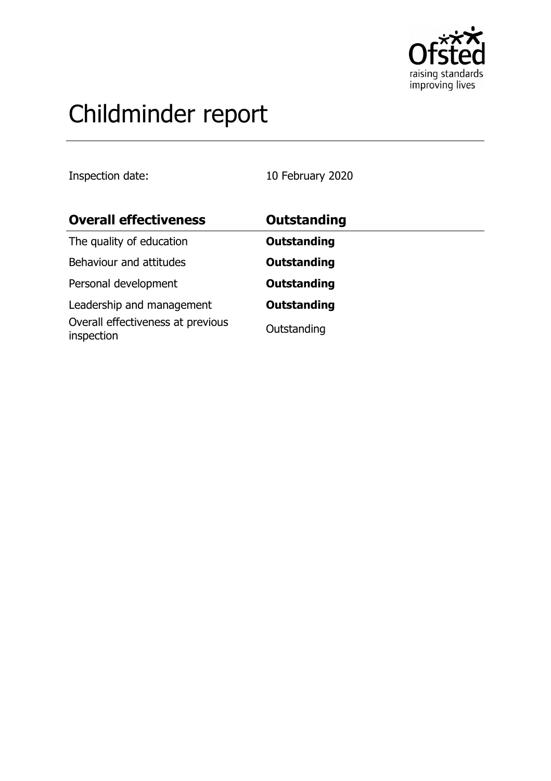

# Childminder report

Inspection date: 10 February 2020

| <b>Overall effectiveness</b>                    | <b>Outstanding</b> |
|-------------------------------------------------|--------------------|
| The quality of education                        | <b>Outstanding</b> |
| Behaviour and attitudes                         | <b>Outstanding</b> |
| Personal development                            | <b>Outstanding</b> |
| Leadership and management                       | <b>Outstanding</b> |
| Overall effectiveness at previous<br>inspection | Outstanding        |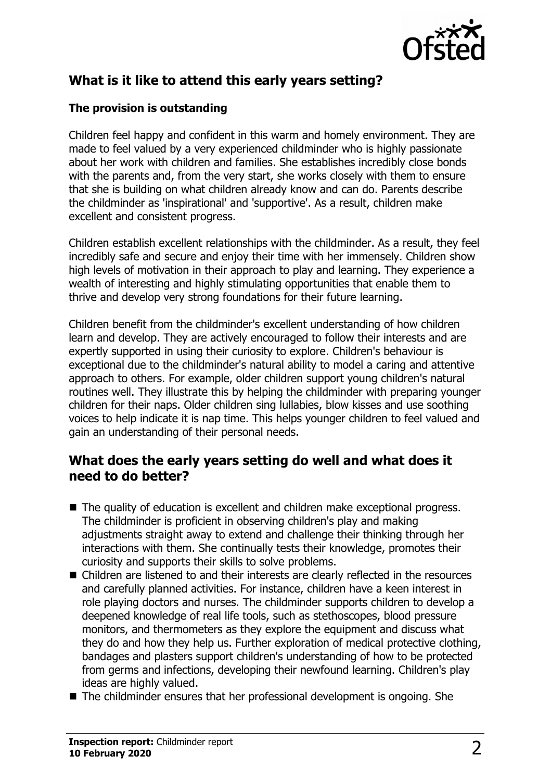

# **What is it like to attend this early years setting?**

#### **The provision is outstanding**

Children feel happy and confident in this warm and homely environment. They are made to feel valued by a very experienced childminder who is highly passionate about her work with children and families. She establishes incredibly close bonds with the parents and, from the very start, she works closely with them to ensure that she is building on what children already know and can do. Parents describe the childminder as 'inspirational' and 'supportive'. As a result, children make excellent and consistent progress.

Children establish excellent relationships with the childminder. As a result, they feel incredibly safe and secure and enjoy their time with her immensely. Children show high levels of motivation in their approach to play and learning. They experience a wealth of interesting and highly stimulating opportunities that enable them to thrive and develop very strong foundations for their future learning.

Children benefit from the childminder's excellent understanding of how children learn and develop. They are actively encouraged to follow their interests and are expertly supported in using their curiosity to explore. Children's behaviour is exceptional due to the childminder's natural ability to model a caring and attentive approach to others. For example, older children support young children's natural routines well. They illustrate this by helping the childminder with preparing younger children for their naps. Older children sing lullabies, blow kisses and use soothing voices to help indicate it is nap time. This helps younger children to feel valued and gain an understanding of their personal needs.

#### **What does the early years setting do well and what does it need to do better?**

- $\blacksquare$  The quality of education is excellent and children make exceptional progress. The childminder is proficient in observing children's play and making adjustments straight away to extend and challenge their thinking through her interactions with them. She continually tests their knowledge, promotes their curiosity and supports their skills to solve problems.
- $\blacksquare$  Children are listened to and their interests are clearly reflected in the resources and carefully planned activities. For instance, children have a keen interest in role playing doctors and nurses. The childminder supports children to develop a deepened knowledge of real life tools, such as stethoscopes, blood pressure monitors, and thermometers as they explore the equipment and discuss what they do and how they help us. Further exploration of medical protective clothing, bandages and plasters support children's understanding of how to be protected from germs and infections, developing their newfound learning. Children's play ideas are highly valued.
- $\blacksquare$  The childminder ensures that her professional development is ongoing. She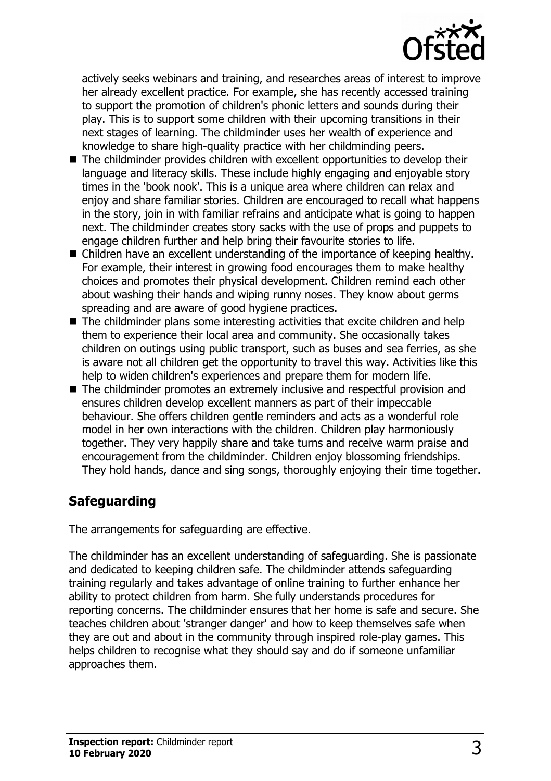

actively seeks webinars and training, and researches areas of interest to improve her already excellent practice. For example, she has recently accessed training to support the promotion of children's phonic letters and sounds during their play. This is to support some children with their upcoming transitions in their next stages of learning. The childminder uses her wealth of experience and knowledge to share high-quality practice with her childminding peers.

- $\blacksquare$  The childminder provides children with excellent opportunities to develop their language and literacy skills. These include highly engaging and enjoyable story times in the 'book nook'. This is a unique area where children can relax and enjoy and share familiar stories. Children are encouraged to recall what happens in the story, join in with familiar refrains and anticipate what is going to happen next. The childminder creates story sacks with the use of props and puppets to engage children further and help bring their favourite stories to life.
- $\blacksquare$  Children have an excellent understanding of the importance of keeping healthy. For example, their interest in growing food encourages them to make healthy choices and promotes their physical development. Children remind each other about washing their hands and wiping runny noses. They know about germs spreading and are aware of good hygiene practices.
- $\blacksquare$  The childminder plans some interesting activities that excite children and help them to experience their local area and community. She occasionally takes children on outings using public transport, such as buses and sea ferries, as she is aware not all children get the opportunity to travel this way. Activities like this help to widen children's experiences and prepare them for modern life.
- $\blacksquare$  The childminder promotes an extremely inclusive and respectful provision and ensures children develop excellent manners as part of their impeccable behaviour. She offers children gentle reminders and acts as a wonderful role model in her own interactions with the children. Children play harmoniously together. They very happily share and take turns and receive warm praise and encouragement from the childminder. Children enjoy blossoming friendships. They hold hands, dance and sing songs, thoroughly enjoying their time together.

## **Safeguarding**

The arrangements for safeguarding are effective.

The childminder has an excellent understanding of safeguarding. She is passionate and dedicated to keeping children safe. The childminder attends safeguarding training regularly and takes advantage of online training to further enhance her ability to protect children from harm. She fully understands procedures for reporting concerns. The childminder ensures that her home is safe and secure. She teaches children about 'stranger danger' and how to keep themselves safe when they are out and about in the community through inspired role-play games. This helps children to recognise what they should say and do if someone unfamiliar approaches them.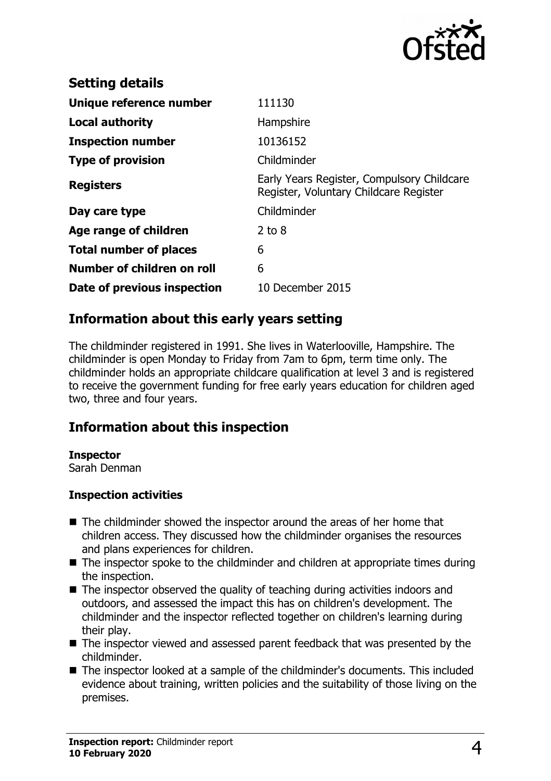

| <b>Setting details</b>        |                                                                                      |
|-------------------------------|--------------------------------------------------------------------------------------|
| Unique reference number       | 111130                                                                               |
| Local authority               | Hampshire                                                                            |
| <b>Inspection number</b>      | 10136152                                                                             |
| <b>Type of provision</b>      | Childminder                                                                          |
| <b>Registers</b>              | Early Years Register, Compulsory Childcare<br>Register, Voluntary Childcare Register |
| Day care type                 | Childminder                                                                          |
| Age range of children         | $2$ to $8$                                                                           |
| <b>Total number of places</b> | 6                                                                                    |
| Number of children on roll    | 6                                                                                    |
| Date of previous inspection   | 10 December 2015                                                                     |

#### **Information about this early years setting**

The childminder registered in 1991. She lives in Waterlooville, Hampshire. The childminder is open Monday to Friday from 7am to 6pm, term time only. The childminder holds an appropriate childcare qualification at level 3 and is registered to receive the government funding for free early years education for children aged two, three and four years.

## **Information about this inspection**

#### **Inspector**

Sarah Denman

#### **Inspection activities**

- $\blacksquare$  The childminder showed the inspector around the areas of her home that children access. They discussed how the childminder organises the resources and plans experiences for children.
- $\blacksquare$  The inspector spoke to the childminder and children at appropriate times during the inspection.
- $\blacksquare$  The inspector observed the quality of teaching during activities indoors and outdoors, and assessed the impact this has on children's development. The childminder and the inspector reflected together on children's learning during their play.
- $\blacksquare$  The inspector viewed and assessed parent feedback that was presented by the childminder.
- The inspector looked at a sample of the childminder's documents. This included evidence about training, written policies and the suitability of those living on the premises.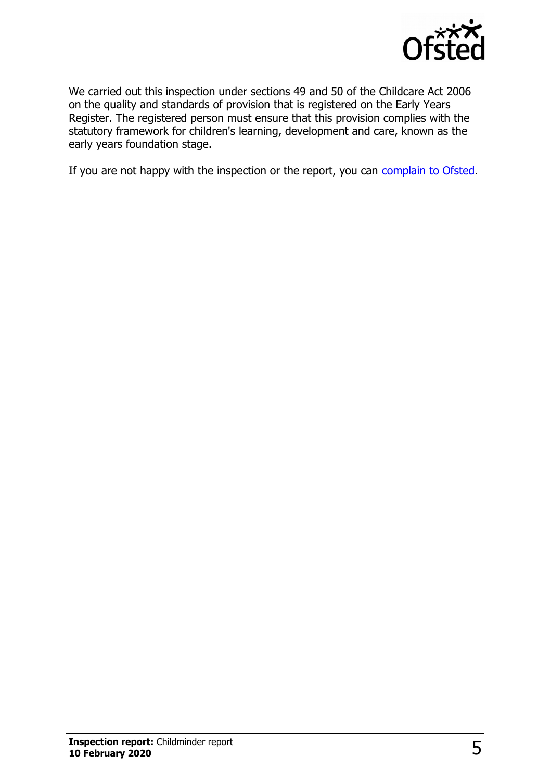

We carried out this inspection under sections 49 and 50 of the Childcare Act 2006 on the quality and standards of provision that is registered on the Early Years Register. The registered person must ensure that this provision complies with the statutory framework for children's learning, development and care, known as the early years foundation stage.

If you are not happy with the inspection or the report, you can [complain to Ofsted.](http://www.gov.uk/complain-ofsted-report)